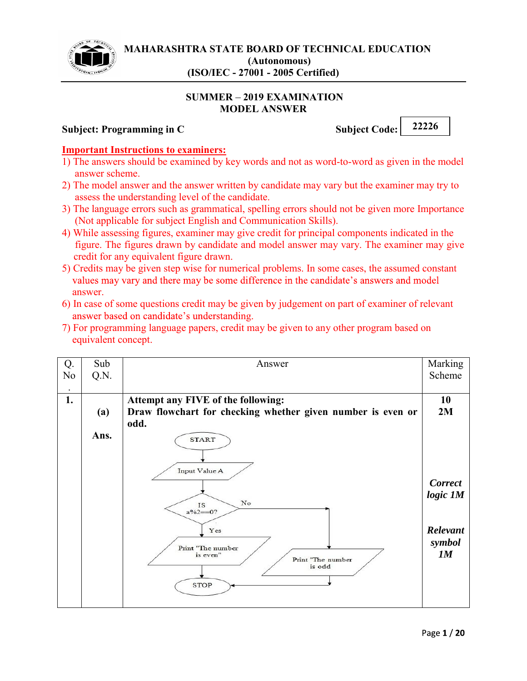

#### **SUMMER 2019 EXAMINATION MODEL ANSWER**

### **Subject: Programming in C** Subject Code: 22226

#### **Important Instructions to examiners:**

- 1) The answers should be examined by key words and not as word-to-word as given in the model answer scheme.
- 2) The model answer and the answer written by candidate may vary but the examiner may try to assess the understanding level of the candidate.
- 3) The language errors such as grammatical, spelling errors should not be given more Importance (Not applicable for subject English and Communication Skills).
- 4) While assessing figures, examiner may give credit for principal components indicated in the figure. The figures drawn by candidate and model answer may vary. The examiner may give credit for any equivalent figure drawn.
- 5) Credits may be given step wise for numerical problems. In some cases, the assumed constant values may vary and there may be some difference in the candidate's answers and model answer.
- 6) In case of some questions credit may be given by judgement on part of examiner of relevant answer based on candidate's understanding.
- 7) For programming language papers, credit may be given to any other program based on equivalent concept.

| Q.<br>N <sub>0</sub> | Sub<br>Q.N. | Answer                                                                                            | Marking<br>Scheme          |
|----------------------|-------------|---------------------------------------------------------------------------------------------------|----------------------------|
| $\bullet$<br>1.      | (a)         | Attempt any FIVE of the following:<br>Draw flowchart for checking whether given number is even or | 10<br>2M                   |
|                      | Ans.        | odd.<br><b>START</b>                                                                              |                            |
|                      |             | Input Value A<br>$_{\rm No}$<br>IS<br>$a\frac{9}{62} = 0?$                                        | <b>Correct</b><br>logic 1M |
|                      |             | Yes<br>Print "The number<br>is even"<br>Print "The number<br>is odd                               | Relevant<br>symbol<br>1M   |
|                      |             | <b>STOP</b>                                                                                       |                            |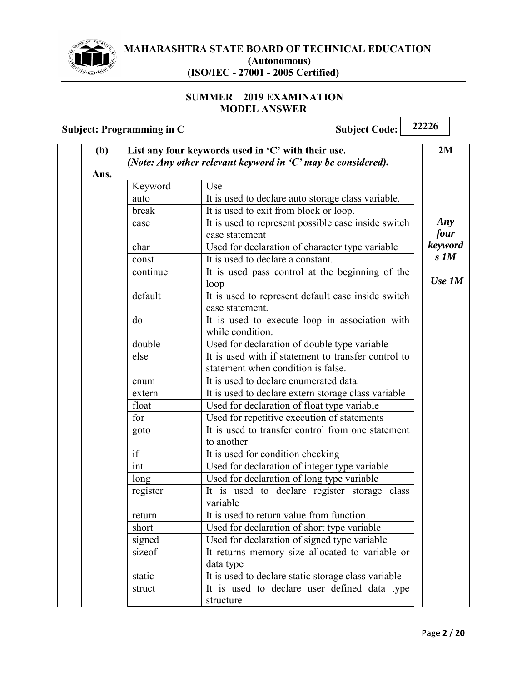

#### **SUMMER - 2019 EXAMINATION MODEL ANSWER**

| (b)  |                                                               | List any four keywords used in 'C' with their use.                                        | 2M               |
|------|---------------------------------------------------------------|-------------------------------------------------------------------------------------------|------------------|
|      | (Note: Any other relevant keyword in $C'$ may be considered). |                                                                                           |                  |
| Ans. |                                                               |                                                                                           |                  |
|      | Keyword                                                       | Use                                                                                       |                  |
|      | auto                                                          | It is used to declare auto storage class variable.                                        |                  |
|      | break                                                         | It is used to exit from block or loop.                                                    |                  |
|      | case                                                          | It is used to represent possible case inside switch<br>case statement                     | Any<br>four      |
|      | char                                                          | Used for declaration of character type variable                                           | keyword          |
|      | const                                                         | It is used to declare a constant.                                                         | $s$ $\mathbf{M}$ |
|      | continue                                                      | It is used pass control at the beginning of the<br>loop                                   | $Use\,IM$        |
|      | default                                                       | It is used to represent default case inside switch<br>case statement.                     |                  |
|      | do                                                            | It is used to execute loop in association with<br>while condition.                        |                  |
|      | double                                                        | Used for declaration of double type variable                                              |                  |
|      | else                                                          | It is used with if statement to transfer control to<br>statement when condition is false. |                  |
|      | enum                                                          | It is used to declare enumerated data.                                                    |                  |
|      | extern                                                        | It is used to declare extern storage class variable                                       |                  |
|      | float                                                         | Used for declaration of float type variable                                               |                  |
|      | for                                                           | Used for repetitive execution of statements                                               |                  |
|      | goto                                                          | It is used to transfer control from one statement<br>to another                           |                  |
|      | if                                                            | It is used for condition checking                                                         |                  |
|      | int                                                           | Used for declaration of integer type variable                                             |                  |
|      | long                                                          | Used for declaration of long type variable                                                |                  |
|      | register                                                      | It is used to declare register storage class<br>variable                                  |                  |
|      | return                                                        | It is used to return value from function.                                                 |                  |
|      | short                                                         | Used for declaration of short type variable                                               |                  |
|      | signed                                                        | Used for declaration of signed type variable                                              |                  |
|      | sizeof                                                        | It returns memory size allocated to variable or<br>data type                              |                  |
|      | static                                                        | It is used to declare static storage class variable                                       |                  |
|      | struct                                                        | It is used to declare user defined data type<br>structure                                 |                  |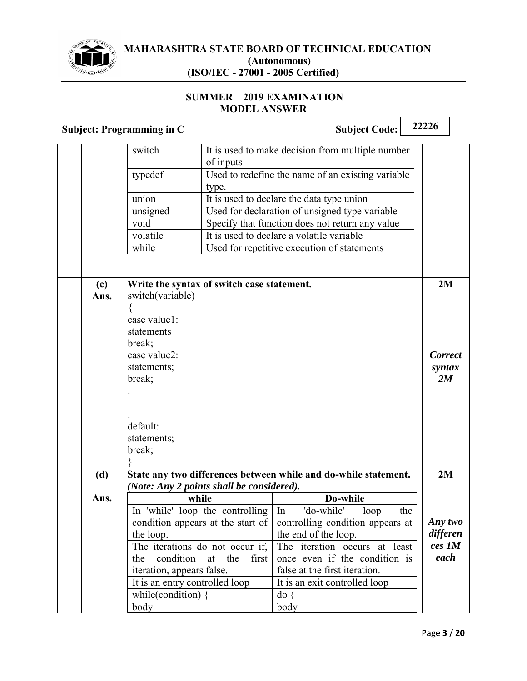

#### **SUMMER 2019 EXAMINATION MODEL ANSWER**

| <b>Subject: Programming in C</b> |                                            |                    | <b>Subject Code:</b>                                            | 22226          |
|----------------------------------|--------------------------------------------|--------------------|-----------------------------------------------------------------|----------------|
|                                  | switch                                     |                    | It is used to make decision from multiple number                |                |
|                                  |                                            | of inputs          |                                                                 |                |
|                                  | typedef                                    |                    | Used to redefine the name of an existing variable               |                |
|                                  |                                            | type.              |                                                                 |                |
|                                  | union                                      |                    | It is used to declare the data type union                       |                |
|                                  | unsigned                                   |                    | Used for declaration of unsigned type variable                  |                |
|                                  | void                                       |                    | Specify that function does not return any value                 |                |
|                                  | volatile                                   |                    | It is used to declare a volatile variable                       |                |
|                                  | while                                      |                    | Used for repetitive execution of statements                     |                |
|                                  |                                            |                    |                                                                 |                |
| (c)                              | Write the syntax of switch case statement. |                    |                                                                 | 2M             |
| Ans.                             | switch(variable)                           |                    |                                                                 |                |
|                                  | $\{$                                       |                    |                                                                 |                |
|                                  | case value1:                               |                    |                                                                 |                |
|                                  | statements                                 |                    |                                                                 |                |
|                                  | break;                                     |                    |                                                                 |                |
|                                  | case value2:                               |                    |                                                                 | <b>Correct</b> |
|                                  | statements;                                |                    |                                                                 | syntax         |
|                                  | break;                                     |                    |                                                                 | 2M             |
|                                  |                                            |                    |                                                                 |                |
|                                  |                                            |                    |                                                                 |                |
|                                  |                                            |                    |                                                                 |                |
|                                  | default:                                   |                    |                                                                 |                |
|                                  | statements;                                |                    |                                                                 |                |
|                                  | break;                                     |                    |                                                                 |                |
| (d)                              |                                            |                    | State any two differences between while and do-while statement. | 2M             |
|                                  | (Note: Any 2 points shall be considered).  |                    |                                                                 |                |
| Ans.                             | while                                      |                    | Do-while                                                        |                |
|                                  | In 'while' loop the controlling            |                    | 'do-while'<br>In<br>loop<br>the                                 |                |
|                                  | condition appears at the start of          |                    | controlling condition appears at                                | Any two        |
|                                  | the loop.                                  |                    | the end of the loop.                                            | differen       |
|                                  | The iterations do not occur if,            |                    | The iteration occurs at least                                   | ces 1M         |
|                                  | condition<br>the                           | the<br>first<br>at | once even if the condition is                                   | each           |
|                                  | iteration, appears false.                  |                    | false at the first iteration.                                   |                |
|                                  | It is an entry controlled loop             |                    | It is an exit controlled loop                                   |                |
|                                  | while(condition) $\{$                      |                    | $\text{do}$ {                                                   |                |
|                                  | body                                       |                    | body                                                            |                |

 $\overline{\phantom{a}}$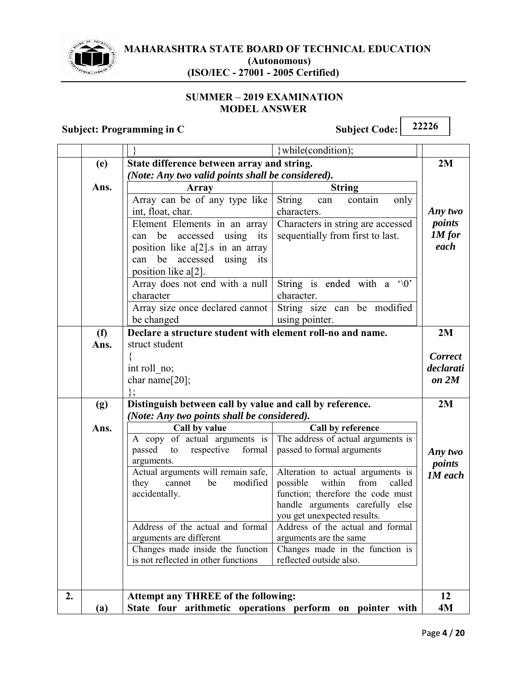

#### **SUMMER - 2019 EXAMINATION MODEL ANSWER**

|    |                                                                   | $\mathbf{S}$ uvject. 1 rogramning in U                   | $\mathbf{S}$ unject Coue. $\mathbf{S}$                          |                |  |
|----|-------------------------------------------------------------------|----------------------------------------------------------|-----------------------------------------------------------------|----------------|--|
|    |                                                                   |                                                          | while(condition);                                               |                |  |
|    | (e)                                                               | State difference between array and string.               |                                                                 | 2M             |  |
|    |                                                                   | (Note: Any two valid points shall be considered).        |                                                                 |                |  |
|    | Ans.                                                              | <b>Array</b>                                             | <b>String</b>                                                   |                |  |
|    |                                                                   | Array can be of any type like                            | <b>String</b><br>only<br>can<br>contain                         |                |  |
|    |                                                                   | int, float, char.                                        | characters.                                                     | Any two        |  |
|    |                                                                   | Element Elements in an array                             | Characters in string are accessed                               | points         |  |
|    |                                                                   | accessed using its<br>be<br>can                          | sequentially from first to last.                                | $1M$ for       |  |
|    |                                                                   | position like $a[2]$ . in an array                       |                                                                 | each           |  |
|    |                                                                   | can be accessed using its                                |                                                                 |                |  |
|    |                                                                   | position like a[2].                                      |                                                                 |                |  |
|    |                                                                   | Array does not end with a null                           | String is ended with a '\0'                                     |                |  |
|    |                                                                   | character                                                | character.                                                      |                |  |
|    |                                                                   | Array size once declared cannot                          | String size can be modified                                     |                |  |
|    |                                                                   | be changed                                               | using pointer.                                                  |                |  |
|    | Declare a structure student with element roll-no and name.<br>(f) |                                                          |                                                                 | 2M             |  |
|    | struct student<br>Ans.                                            |                                                          |                                                                 |                |  |
|    |                                                                   |                                                          |                                                                 | <b>Correct</b> |  |
|    |                                                                   | int roll no;                                             |                                                                 | declarati      |  |
|    |                                                                   | char name[20];                                           |                                                                 | on 2M          |  |
|    |                                                                   | $\}$ :                                                   |                                                                 |                |  |
|    | (g)                                                               | Distinguish between call by value and call by reference. |                                                                 | 2M             |  |
|    | (Note: Any two points shall be considered).                       |                                                          |                                                                 |                |  |
|    | Ans.                                                              | Call by value                                            | Call by reference                                               |                |  |
|    |                                                                   | A copy of actual arguments is                            | The address of actual arguments is                              |                |  |
|    |                                                                   | formal<br>passed<br>respective<br>to                     | passed to formal arguments                                      | Any two        |  |
|    |                                                                   | arguments.                                               |                                                                 | points         |  |
|    |                                                                   | Actual arguments will remain safe,                       | Alteration to actual arguments is                               | <b>1M</b> each |  |
|    |                                                                   | modified<br>they<br>cannot<br>be                         | possible<br>from<br>within<br>called                            |                |  |
|    |                                                                   | accidentally.                                            | function; therefore the code must                               |                |  |
|    |                                                                   |                                                          | handle arguments carefully else                                 |                |  |
|    |                                                                   | Address of the actual and formal                         | you get unexpected results.<br>Address of the actual and formal |                |  |
|    |                                                                   | arguments are different                                  | arguments are the same                                          |                |  |
|    |                                                                   | Changes made inside the function                         | Changes made in the function is                                 |                |  |
|    |                                                                   | is not reflected in other functions                      | reflected outside also.                                         |                |  |
|    |                                                                   |                                                          |                                                                 |                |  |
|    |                                                                   |                                                          |                                                                 |                |  |
| 2. |                                                                   | <b>Attempt any THREE of the following:</b>               |                                                                 | 12             |  |
|    | (a)                                                               |                                                          | State four arithmetic operations perform on pointer with        | 4M             |  |
|    |                                                                   |                                                          |                                                                 |                |  |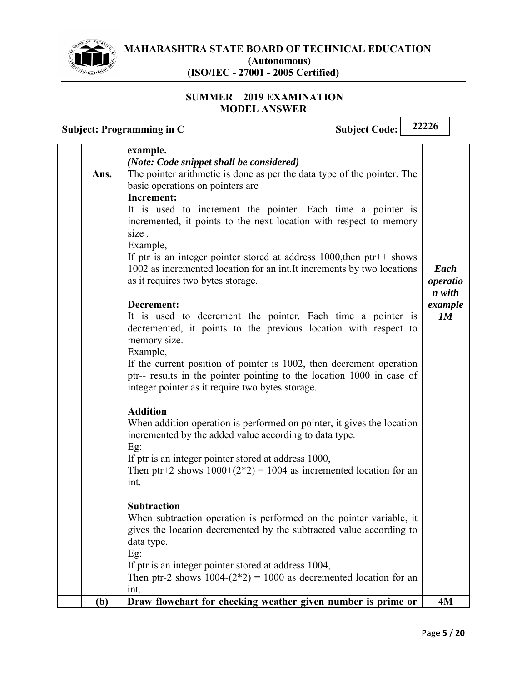

#### **SUMMER - 2019 EXAMINATION MODEL ANSWER**

|      | example.                                                                                                                         |                    |
|------|----------------------------------------------------------------------------------------------------------------------------------|--------------------|
|      | (Note: Code snippet shall be considered)                                                                                         |                    |
| Ans. | The pointer arithmetic is done as per the data type of the pointer. The                                                          |                    |
|      | basic operations on pointers are<br><b>Increment:</b>                                                                            |                    |
|      | It is used to increment the pointer. Each time a pointer is                                                                      |                    |
|      | incremented, it points to the next location with respect to memory                                                               |                    |
|      | size.                                                                                                                            |                    |
|      | Example,                                                                                                                         |                    |
|      | If ptr is an integer pointer stored at address $1000$ , then ptr++ shows                                                         |                    |
|      | 1002 as incremented location for an int. It increments by two locations                                                          | Each               |
|      | as it requires two bytes storage.                                                                                                | operatio<br>n with |
|      | Decrement:                                                                                                                       | example            |
|      | It is used to decrement the pointer. Each time a pointer is                                                                      | 1M                 |
|      | decremented, it points to the previous location with respect to                                                                  |                    |
|      | memory size.                                                                                                                     |                    |
|      | Example,<br>If the current position of pointer is 1002, then decrement operation                                                 |                    |
|      | ptr-- results in the pointer pointing to the location 1000 in case of                                                            |                    |
|      | integer pointer as it require two bytes storage.                                                                                 |                    |
|      |                                                                                                                                  |                    |
|      | <b>Addition</b>                                                                                                                  |                    |
|      | When addition operation is performed on pointer, it gives the location<br>incremented by the added value according to data type. |                    |
|      | $Eg$ :                                                                                                                           |                    |
|      | If ptr is an integer pointer stored at address 1000,                                                                             |                    |
|      | Then ptr+2 shows $1000+(2*2) = 1004$ as incremented location for an                                                              |                    |
|      | int.                                                                                                                             |                    |
|      | <b>Subtraction</b>                                                                                                               |                    |
|      | When subtraction operation is performed on the pointer variable, it                                                              |                    |
|      | gives the location decremented by the subtracted value according to                                                              |                    |
|      | data type.                                                                                                                       |                    |
|      | $Eg$ :                                                                                                                           |                    |
|      | If ptr is an integer pointer stored at address 1004,<br>Then ptr-2 shows $1004-(2*2) = 1000$ as decremented location for an      |                    |
|      | int.                                                                                                                             |                    |
| (b)  | Draw flowchart for checking weather given number is prime or                                                                     | 4M                 |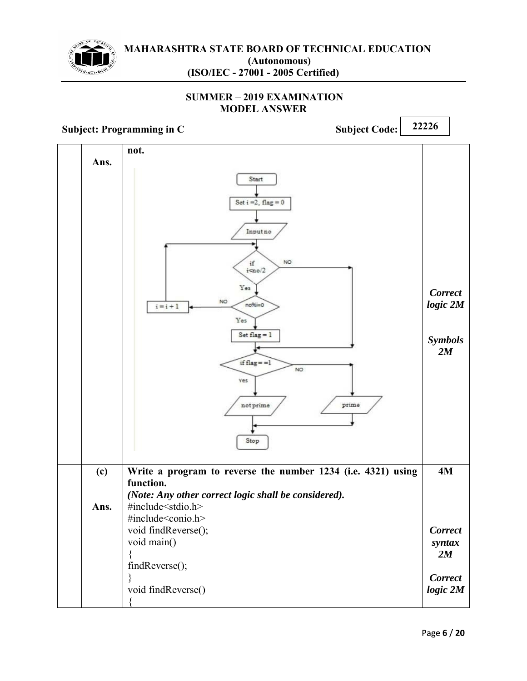

#### **SUMMER 2019 EXAMINATION MODEL ANSWER**

**Subject: Programming in C** Subject Code: 22226 **not. Ans.**  Start Set  $i = 2$ , flag = 0 Input no NO. if  $i$ <no/2 Yes *Correct* NO. *logic 2M*  $no%i=0$  $i = i + 1$ Yes Set  $flag = 1$ *Symbols 2M* if  $flag = -1$ NO Yes prime  $not prime$ Stop **Write a program to reverse the number 1234 (i.e. 4321) using 4M (c) function.**  *(Note: Any other correct logic shall be considered).*  #include<stdio.h> **Ans.**  #include<conio.h> void findReverse(); *Correct* void main() *syntax*  { *2M* findReverse(); *Correct* } void findReverse() *logic 2M*{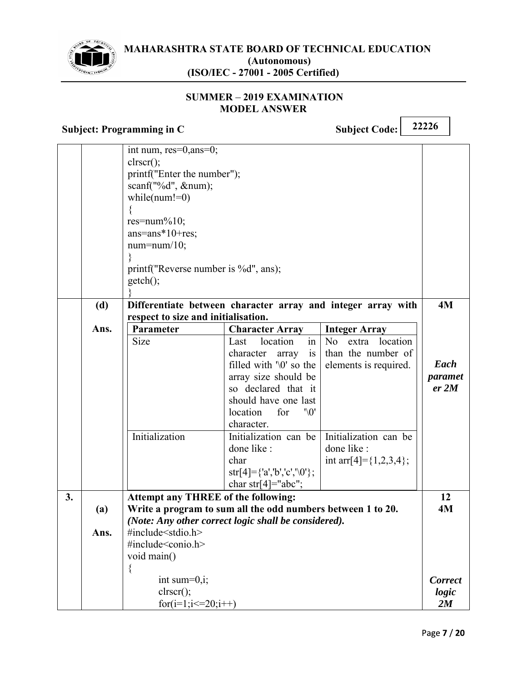

#### **SUMMER - 2019 EXAMINATION MODEL ANSWER**

|    |      | int num, res=0,ans=0;<br>clrscr();<br>printf("Enter the number");<br>scanf("%d", #);<br>while( $num!=0$ )<br>res=num% $10$ ;<br>$ans = ans * 10 + res;$<br>$num = num/10$ ;<br>printf("Reverse number is %d", ans); |                                                                               |                                                                                    |                  |
|----|------|---------------------------------------------------------------------------------------------------------------------------------------------------------------------------------------------------------------------|-------------------------------------------------------------------------------|------------------------------------------------------------------------------------|------------------|
|    |      | $getch()$ ;                                                                                                                                                                                                         |                                                                               |                                                                                    |                  |
|    | (d)  |                                                                                                                                                                                                                     |                                                                               | Differentiate between character array and integer array with                       | 4M               |
|    |      | respect to size and initialisation.                                                                                                                                                                                 |                                                                               |                                                                                    |                  |
|    | Ans. | Parameter                                                                                                                                                                                                           | <b>Character Array</b>                                                        | <b>Integer Array</b>                                                               |                  |
|    |      | Size                                                                                                                                                                                                                | in<br>location<br>Last<br>character<br>is<br>array<br>filled with '\0' so the | location<br>N <sub>o</sub><br>extra<br>than the number of<br>elements is required. | Each             |
|    |      |                                                                                                                                                                                                                     | array size should be<br>so declared that it                                   |                                                                                    | paramet<br>er 2M |
|    |      |                                                                                                                                                                                                                     | should have one last<br>location<br>$^{\prime\prime}$ .<br>for<br>character.  |                                                                                    |                  |
|    |      | Initialization                                                                                                                                                                                                      | Initialization can be<br>done like :                                          | Initialization can be<br>done like :                                               |                  |
|    |      |                                                                                                                                                                                                                     | char<br>$str[4]=\{a', b', c', \0'\};$<br>char str[4]="abc";                   | int arr $[4] = \{1,2,3,4\}$ ;                                                      |                  |
| 3. |      | <b>Attempt any THREE of the following:</b>                                                                                                                                                                          |                                                                               |                                                                                    | 12               |
|    | (a)  |                                                                                                                                                                                                                     | Write a program to sum all the odd numbers between 1 to 20.                   |                                                                                    | 4M               |
|    |      |                                                                                                                                                                                                                     | (Note: Any other correct logic shall be considered).                          |                                                                                    |                  |
|    | Ans. | #include <stdio.h></stdio.h>                                                                                                                                                                                        |                                                                               |                                                                                    |                  |
|    |      | #include <conio.h><br/>void main()</conio.h>                                                                                                                                                                        |                                                                               |                                                                                    |                  |
|    |      | $\{$                                                                                                                                                                                                                |                                                                               |                                                                                    |                  |
|    |      | int sum=0,i;                                                                                                                                                                                                        |                                                                               |                                                                                    | <b>Correct</b>   |
|    |      | $\text{clrscr}$ $\text{c}$ :                                                                                                                                                                                        |                                                                               |                                                                                    | logic            |
|    |      | for(i=1;i $\leq$ = 20;i + +)                                                                                                                                                                                        |                                                                               |                                                                                    | 2M               |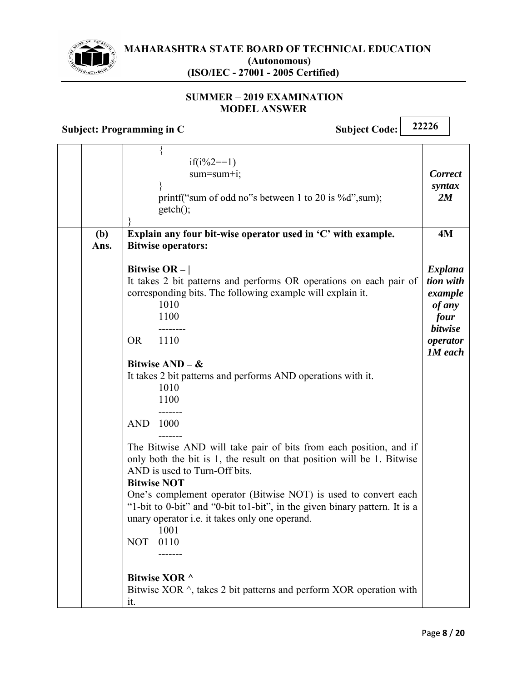

#### **SUMMER - 2019 EXAMINATION MODEL ANSWER**

|             | $if(i\%2 == 1)$<br>$sum = sum + i;$<br>printf("sum of odd no"s between 1 to 20 is %d", sum);<br>$getch()$ ;                                                                                                                                                                                                                                                                                                                                                                                                                                                                                                                                                                                                                                                                               | <b>Correct</b><br>syntax<br>2M                                                                           |
|-------------|-------------------------------------------------------------------------------------------------------------------------------------------------------------------------------------------------------------------------------------------------------------------------------------------------------------------------------------------------------------------------------------------------------------------------------------------------------------------------------------------------------------------------------------------------------------------------------------------------------------------------------------------------------------------------------------------------------------------------------------------------------------------------------------------|----------------------------------------------------------------------------------------------------------|
| (b)<br>Ans. | Explain any four bit-wise operator used in 'C' with example.<br><b>Bitwise operators:</b>                                                                                                                                                                                                                                                                                                                                                                                                                                                                                                                                                                                                                                                                                                 | <b>4M</b>                                                                                                |
|             | Bitwise OR $-$  <br>It takes 2 bit patterns and performs OR operations on each pair of<br>corresponding bits. The following example will explain it.<br>1010<br>1100<br><b>OR</b><br>1110<br>Bitwise $AND - \&$<br>It takes 2 bit patterns and performs AND operations with it.<br>1010<br>1100<br>.<br><b>AND</b><br>1000<br>The Bitwise AND will take pair of bits from each position, and if<br>only both the bit is 1, the result on that position will be 1. Bitwise<br>AND is used to Turn-Off bits.<br><b>Bitwise NOT</b><br>One's complement operator (Bitwise NOT) is used to convert each<br>"1-bit to 0-bit" and "0-bit to1-bit", in the given binary pattern. It is a<br>unary operator <i>i.e.</i> it takes only one operand.<br>1001<br><b>NOT</b><br>0110<br>Bitwise XOR ^ | <b>Explana</b><br>tion with<br>example<br>of any<br>four<br><b>bitwise</b><br>operator<br><b>1M</b> each |
|             | Bitwise XOR $\land$ , takes 2 bit patterns and perform XOR operation with<br>it.                                                                                                                                                                                                                                                                                                                                                                                                                                                                                                                                                                                                                                                                                                          |                                                                                                          |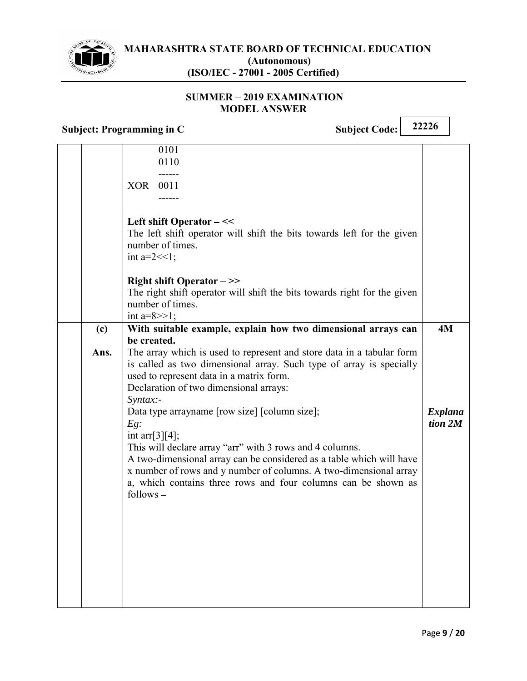

#### **SUMMER - 2019 EXAMINATION MODEL ANSWER**

|      | 0101<br>0110<br>XOR 0011                                                                                                                                                                                                                                                                                                                                             |                           |
|------|----------------------------------------------------------------------------------------------------------------------------------------------------------------------------------------------------------------------------------------------------------------------------------------------------------------------------------------------------------------------|---------------------------|
|      | Left shift Operator -<<<br>The left shift operator will shift the bits towards left for the given<br>number of times.<br>int a= $2 \lt 1$ ;                                                                                                                                                                                                                          |                           |
|      | <b>Right shift Operator -&gt;&gt;</b><br>The right shift operator will shift the bits towards right for the given<br>number of times.<br>int $a=8>>1$ ;                                                                                                                                                                                                              |                           |
| (c)  | With suitable example, explain how two dimensional arrays can                                                                                                                                                                                                                                                                                                        | 4M                        |
|      | be created.                                                                                                                                                                                                                                                                                                                                                          |                           |
| Ans. | The array which is used to represent and store data in a tabular form<br>is called as two dimensional array. Such type of array is specially<br>used to represent data in a matrix form.<br>Declaration of two dimensional arrays:<br>Syntax:-                                                                                                                       |                           |
|      | Data type arrayname [row size] [column size];<br>$Eg$ :<br>int arr[ $3$ ][4];<br>This will declare array "arr" with 3 rows and 4 columns.<br>A two-dimensional array can be considered as a table which will have<br>x number of rows and y number of columns. A two-dimensional array<br>a, which contains three rows and four columns can be shown as<br>follows – | <b>Explana</b><br>tion 2M |
|      |                                                                                                                                                                                                                                                                                                                                                                      |                           |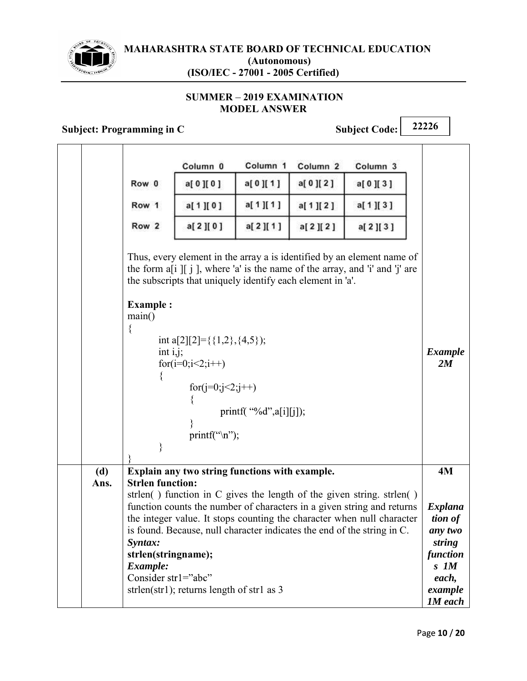

#### **SUMMER - 2019 EXAMINATION MODEL ANSWER**

## **Subject: Programming in C** Subject Code: 22226

|      |                                                                                              | Column <sub>0</sub>                                                                                                                                                     | Column <sub>1</sub>        | Column <sub>2</sub> | Column 3                                                                                                                                                                                                                                                                                             |                                                                                                              |
|------|----------------------------------------------------------------------------------------------|-------------------------------------------------------------------------------------------------------------------------------------------------------------------------|----------------------------|---------------------|------------------------------------------------------------------------------------------------------------------------------------------------------------------------------------------------------------------------------------------------------------------------------------------------------|--------------------------------------------------------------------------------------------------------------|
|      | Row 0                                                                                        | a[0][0]                                                                                                                                                                 | a[0][1]                    | a[ 0 ][ 2 ]         | a[0][3]                                                                                                                                                                                                                                                                                              |                                                                                                              |
|      | Row 1                                                                                        | a[1][0]                                                                                                                                                                 | a[1][1]                    | a[1][2]             | a[1][3]                                                                                                                                                                                                                                                                                              |                                                                                                              |
|      | Row 2                                                                                        | a[2][0]                                                                                                                                                                 | a[2][1]                    | a[2][2]             | a[2][3]                                                                                                                                                                                                                                                                                              |                                                                                                              |
|      | <b>Example:</b><br>main()<br>∤<br>int $i, j$ ;<br>∤                                          | the subscripts that uniquely identify each element in 'a'.<br>int a[2][2]={{1,2}, {4,5});<br>for( $i=0; i<2; i++)$<br>for( $j=0; j<2; j++)$<br>printf(" $\langle n$ "); | printf( $``%d",a[i][j]$ ); |                     | Thus, every element in the array a is identified by an element name of<br>the form $a[i]$ [ $j$ ], where 'a' is the name of the array, and 'i' and 'j' are                                                                                                                                           | <b>Example</b><br>2M                                                                                         |
| (d)  |                                                                                              | Explain any two string functions with example.                                                                                                                          |                            |                     |                                                                                                                                                                                                                                                                                                      | 4M                                                                                                           |
| Ans. | <b>Strlen function:</b><br>Syntax:<br>strlen(stringname);<br>Example:<br>Consider str1="abc" | strlen(str1); returns length of str1 as $3$                                                                                                                             |                            |                     | strlen() function in C gives the length of the given string. strlen()<br>function counts the number of characters in a given string and returns<br>the integer value. It stops counting the character when null character<br>is found. Because, null character indicates the end of the string in C. | <b>Explana</b><br>tion of<br>any two<br>string<br>function<br>$S$ $IM$<br>each,<br>example<br><b>1M</b> each |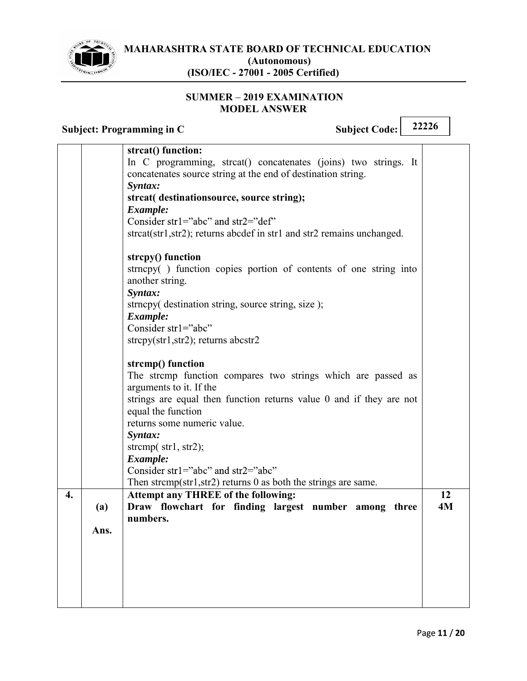

 $\Gamma$ 

#### **SUMMER - 2019 EXAMINATION MODEL ANSWER**

|                   | 22226<br><b>Subject Code:</b><br><b>Subject: Programming in C</b>                                                                                                                                                                                                                                                                                                                                                                                                                                                                                                                                                                                                                                                                                                                                                                                                                                               |          |
|-------------------|-----------------------------------------------------------------------------------------------------------------------------------------------------------------------------------------------------------------------------------------------------------------------------------------------------------------------------------------------------------------------------------------------------------------------------------------------------------------------------------------------------------------------------------------------------------------------------------------------------------------------------------------------------------------------------------------------------------------------------------------------------------------------------------------------------------------------------------------------------------------------------------------------------------------|----------|
|                   | strcat() function:<br>In C programming, streat() concatenates (joins) two strings. It<br>concatenates source string at the end of destination string.<br>Syntax:<br>strcat( destinationsource, source string);<br>Example:<br>Consider str1="abc" and str2="def"<br>strcat(str1,str2); returns abcdef in str1 and str2 remains unchanged.<br>strcpy() function<br>strncpy() function copies portion of contents of one string into<br>another string.<br>Syntax:<br>strncpy( destination string, source string, size);<br>Example:<br>Consider str1="abc"<br>$stropy(str1, str2)$ ; returns abcstr2<br>strcmp() function<br>The stremp function compares two strings which are passed as<br>arguments to it. If the<br>strings are equal then function returns value 0 and if they are not<br>equal the function<br>returns some numeric value.<br>Syntax:<br>strcmp $(\text{str1}, \text{str2})$ ;<br>Example: |          |
|                   | Consider str1="abc" and str2="abc"<br>Then strcmp(str1,str2) returns 0 as both the strings are same.                                                                                                                                                                                                                                                                                                                                                                                                                                                                                                                                                                                                                                                                                                                                                                                                            |          |
| 4.<br>(a)<br>Ans. | <b>Attempt any THREE of the following:</b><br>Draw flowchart for finding largest number among three<br>numbers.                                                                                                                                                                                                                                                                                                                                                                                                                                                                                                                                                                                                                                                                                                                                                                                                 | 12<br>4M |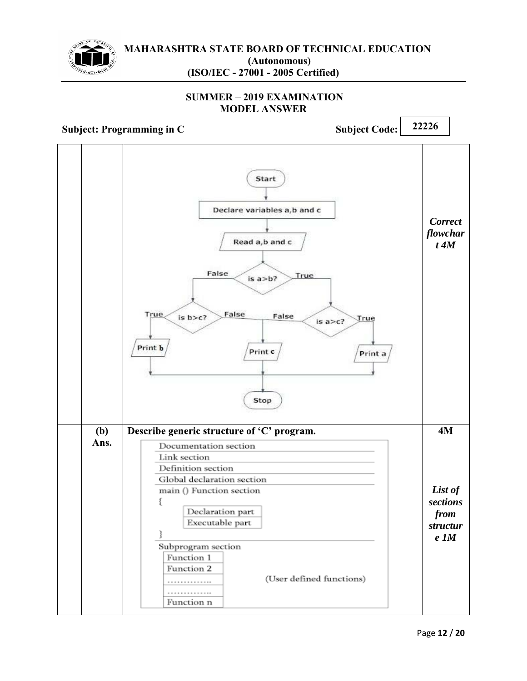

#### **SUMMER 2019 EXAMINATION MODEL ANSWER**

**Subject: Programming in C** Subject Code: 22226 Start Declare variables a,b and c *Correct flowchar* Read a,b and c *t 4M* False True  $is a$ >b? False **True**  $is b > c?$ False True is  $a > c$ ? Print b Print c Print a Stop  **(b)**  Describe generic structure of 'C' program. **4M Ans.**  Documentation section Link section Definition section Global declaration section *List of*  main () Function section *sections* ſ Declaration part *from* Executable part *structur* 3 *e 1M*Subprogram section Function 1 Function 2 (User defined functions) . . . . . . . . . . . . . . . . . . . . . . . . . . . . Function n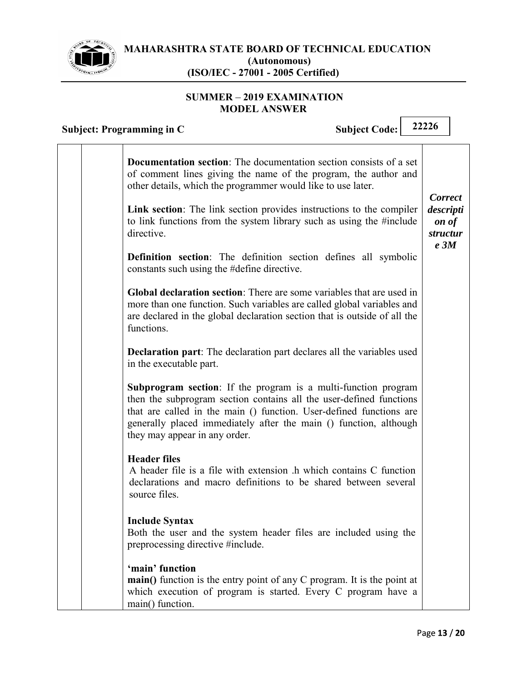

 $\Gamma$ 

٦

#### **SUMMER - 2019 EXAMINATION MODEL ANSWER**

| <b>Subject Code:</b><br>Subject: Programming in C                                                                                                                                                                                                                                                                         | 22226                                                               |
|---------------------------------------------------------------------------------------------------------------------------------------------------------------------------------------------------------------------------------------------------------------------------------------------------------------------------|---------------------------------------------------------------------|
| <b>Documentation section:</b> The documentation section consists of a set<br>of comment lines giving the name of the program, the author and<br>other details, which the programmer would like to use later.                                                                                                              |                                                                     |
| Link section: The link section provides instructions to the compiler<br>to link functions from the system library such as using the #include<br>directive.                                                                                                                                                                | <b>Correct</b><br>descripti<br>on of<br>structur<br>e <sub>3M</sub> |
| <b>Definition</b> section: The definition section defines all symbolic<br>constants such using the #define directive.                                                                                                                                                                                                     |                                                                     |
| Global declaration section: There are some variables that are used in<br>more than one function. Such variables are called global variables and<br>are declared in the global declaration section that is outside of all the<br>functions.                                                                                |                                                                     |
| <b>Declaration part:</b> The declaration part declares all the variables used<br>in the executable part.                                                                                                                                                                                                                  |                                                                     |
| <b>Subprogram section:</b> If the program is a multi-function program<br>then the subprogram section contains all the user-defined functions<br>that are called in the main () function. User-defined functions are<br>generally placed immediately after the main () function, although<br>they may appear in any order. |                                                                     |
| <b>Header files</b><br>A header file is a file with extension .h which contains C function<br>declarations and macro definitions to be shared between several<br>source files.                                                                                                                                            |                                                                     |
| <b>Include Syntax</b><br>Both the user and the system header files are included using the<br>preprocessing directive #include.                                                                                                                                                                                            |                                                                     |
| 'main' function<br>main() function is the entry point of any C program. It is the point at<br>which execution of program is started. Every C program have a<br>main() function.                                                                                                                                           |                                                                     |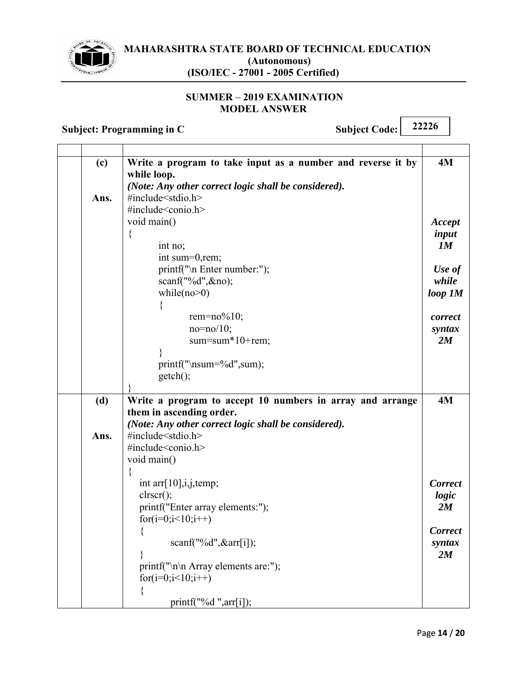

#### **SUMMER - 2019 EXAMINATION MODEL ANSWER**

| (c)  | Write a program to take input as a number and reverse it by | 4M             |  |
|------|-------------------------------------------------------------|----------------|--|
|      | while loop.                                                 |                |  |
|      | (Note: Any other correct logic shall be considered).        |                |  |
| Ans. | #include <stdio.h></stdio.h>                                |                |  |
|      | #include <conio.h></conio.h>                                |                |  |
|      | void main()                                                 | Accept         |  |
|      | ₹                                                           | input          |  |
|      | int no;                                                     | 1M             |  |
|      | int sum=0, rem;                                             |                |  |
|      | printf("\n Enter number:");                                 | Use of         |  |
|      | scanf("%d", &no);                                           | while          |  |
|      | while( $no>0$ )                                             | $loop$ $IM$    |  |
|      |                                                             |                |  |
|      | rem= $no\%10$ ;                                             | correct        |  |
|      | $no = no / 10$ ;                                            | syntax         |  |
|      | sum=sum*10+rem;                                             | 2M             |  |
|      |                                                             |                |  |
|      | $print(f''\nsum=%d'', sum);$                                |                |  |
|      | $getch()$ ;                                                 |                |  |
|      |                                                             |                |  |
| (d)  | Write a program to accept 10 numbers in array and arrange   | 4M             |  |
|      | them in ascending order.                                    |                |  |
|      | (Note: Any other correct logic shall be considered).        |                |  |
| Ans. | #include <stdio.h></stdio.h>                                |                |  |
|      | #include <conio.h></conio.h>                                |                |  |
|      | void main()                                                 |                |  |
|      |                                                             |                |  |
|      | int arr $[10]$ , i, j, temp;                                | <b>Correct</b> |  |
|      | $\text{clrscr}$ $\text{C};$                                 | logic          |  |
|      | printf("Enter array elements:");                            | 2M             |  |
|      | for( $i=0; i<10; i++)$                                      |                |  |
|      | $\left\{ \right.$                                           | <b>Correct</b> |  |
|      | scanf("%d", &arr[i]);                                       |                |  |
|      |                                                             | syntax<br>2M   |  |
|      | printf("\n\n Array elements are:");                         |                |  |
|      | for $(i=0; i<10; i++)$                                      |                |  |
|      |                                                             |                |  |
|      |                                                             |                |  |
|      | printf("%d ",arr[i]);                                       |                |  |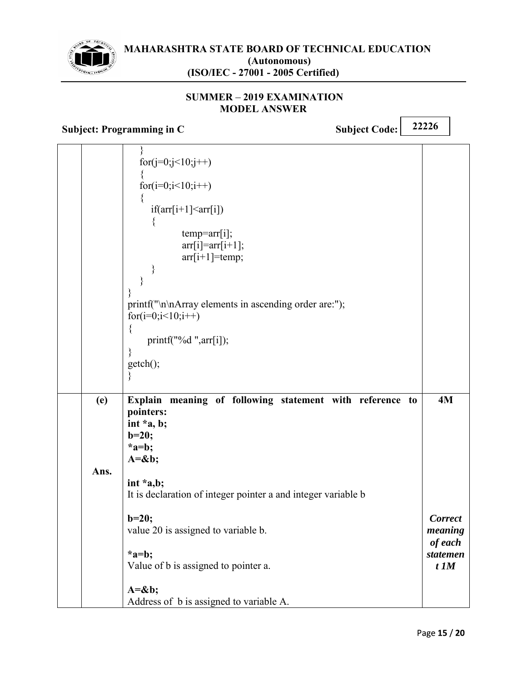

#### **SUMMER 2019 EXAMINATION MODEL ANSWER**

**Subject: Programming in C** Subject Code: 22226

} for( $i=0$ ; $i<10$ ; $i++$ ) { for( $i=0; i<10; i++)$ {  $if(\arr[i+1] \leq \arr[i])$ { temp=arr[i];  $\ar[r][\ar[r+1]]$ ;  $arr[i+1]$ =temp; } } } printf("\n\nArray elements in ascending order are:"); for( $i=0; i<10; i++)$  $\{$ printf("%d ",arr[i]); } getch(); }  **(e) Ans. Explain meaning of following statement with reference to pointers: int \*a, b; b=20; \*a=b; A=&b; int \*a,b;**  It is declaration of integer pointer a and integer variable b **b=20;**  value 20 is assigned to variable b. **\*a=b;**  Value of b is assigned to pointer a. **A=&b;**  Address of b is assigned to variable A. **4M**  *Correct meaning of each statemen t 1M*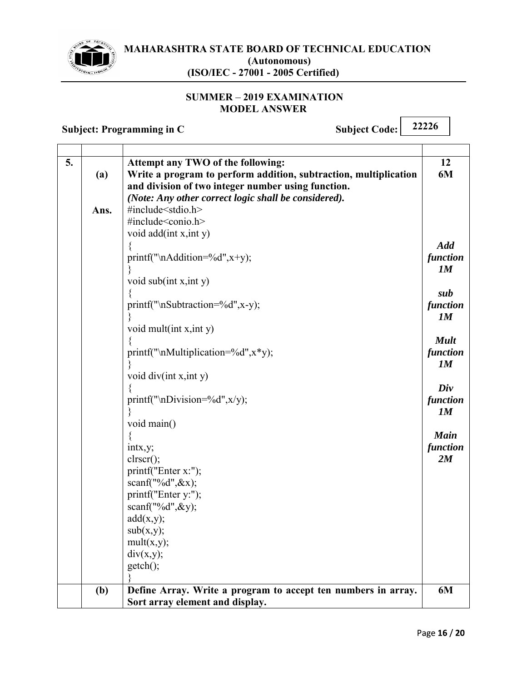

#### **SUMMER - 2019 EXAMINATION MODEL ANSWER**

| 5. |      | Attempt any TWO of the following:                                | 12          |
|----|------|------------------------------------------------------------------|-------------|
|    | (a)  | Write a program to perform addition, subtraction, multiplication | 6M          |
|    |      | and division of two integer number using function.               |             |
|    |      | (Note: Any other correct logic shall be considered).             |             |
|    | Ans. | #include <stdio.h></stdio.h>                                     |             |
|    |      | #include <conio.h></conio.h>                                     |             |
|    |      | void add(int x, int y)                                           |             |
|    |      |                                                                  | <b>Add</b>  |
|    |      | printf("\nAddition=%d",x+y);                                     | function    |
|    |      |                                                                  | 1M          |
|    |      | void sub(int x, int y)                                           |             |
|    |      |                                                                  | sub         |
|    |      | printf("\nSubtraction=%d",x-y);                                  | function    |
|    |      |                                                                  | 1M          |
|    |      | void mult $(int x, int y)$                                       |             |
|    |      |                                                                  | <b>Mult</b> |
|    |      | printf("\nMultiplication=%d", $x$ *y);                           | function    |
|    |      |                                                                  | 1M          |
|    |      | void $div(int x, int y)$                                         |             |
|    |      |                                                                  | Div         |
|    |      | printf("\nDivision=%d", $x/y$ );                                 | function    |
|    |      |                                                                  | 1M          |
|    |      | void main()                                                      |             |
|    |      |                                                                  | <b>Main</b> |
|    |      | intx, y;                                                         | function    |
|    |      | $\text{clrscr}$ $\text{C};$                                      | 2M          |
|    |      | printf("Enter x:");                                              |             |
|    |      | scanf("%d", $&x$ );                                              |             |
|    |      | printf("Enter y:");                                              |             |
|    |      | scanf("%d", &y);                                                 |             |
|    |      | add(x,y);                                                        |             |
|    |      | sub(x,y);                                                        |             |
|    |      | mult(x,y);                                                       |             |
|    |      | div(x,y);                                                        |             |
|    |      | getch();                                                         |             |
|    |      |                                                                  |             |
|    | (b)  | Define Array. Write a program to accept ten numbers in array.    | 6M          |
|    |      | Sort array element and display.                                  |             |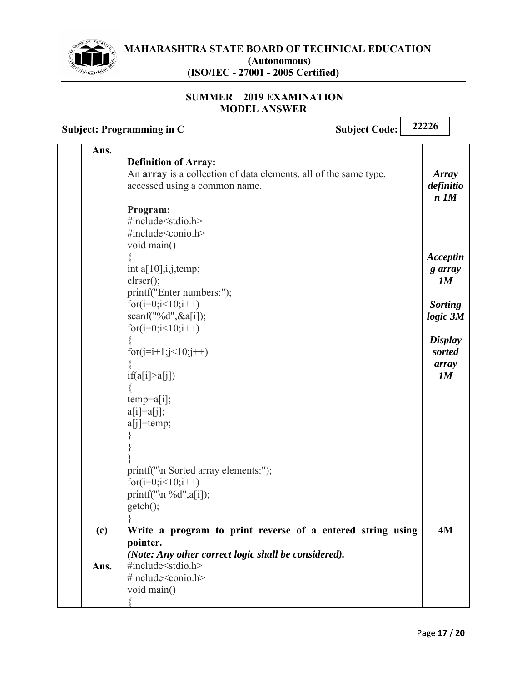

#### **SUMMER - 2019 EXAMINATION MODEL ANSWER**

| Ans.<br><b>Definition of Array:</b>                                                                                                                                   |                                         |
|-----------------------------------------------------------------------------------------------------------------------------------------------------------------------|-----------------------------------------|
| An array is a collection of data elements, all of the same type,<br>accessed using a common name.                                                                     | <b>Array</b><br>definitio<br>$n$ $1M$   |
| Program:<br>#include <stdio.h><br/>#include<conio.h><br/>void main()</conio.h></stdio.h>                                                                              |                                         |
| int a[ $10$ ], i, j, temp;<br>$\text{clrscr}$ $\text{C};$<br>printf("Enter numbers:");                                                                                | Acceptin<br>g array<br>1M               |
| for $(i=0; i<10; i++)$<br>scan f("%d", &a[i]);<br>$for(i=0;i<10;i++)$                                                                                                 | <b>Sorting</b><br>$logic\ 3M$           |
| for(j=i+1;j<10;j++)<br>í<br>if(a[i] > a[j])                                                                                                                           | <b>Display</b><br>sorted<br>array<br>1M |
| $temp=a[i];$<br>$a[i]=a[j];$<br>$a[j]$ =temp;                                                                                                                         |                                         |
| printf("\n Sorted array elements:");<br>for( $i=0; i<10; i++)$                                                                                                        |                                         |
| printf("\n %d", $a[i]$ );<br>$getch()$ ;                                                                                                                              |                                         |
| Write a program to print reverse of a entered string using<br>(c)<br>pointer.<br>(Note: Any other correct logic shall be considered).<br>#include <stdio.h></stdio.h> | 4M                                      |
| Ans.<br>#include <conio.h><br/>void main()</conio.h>                                                                                                                  |                                         |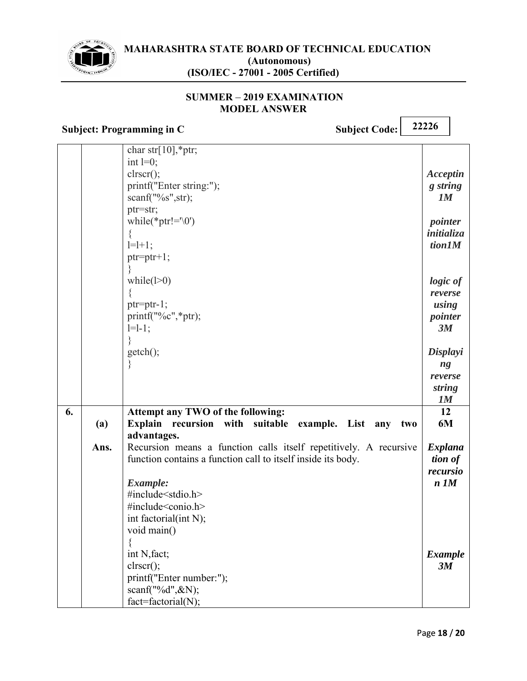

#### **SUMMER 2019 EXAMINATION MODEL ANSWER**

| <b>Subject: Programming in C</b>                                                                                                                                                   | <b>Subject Code:</b>       | 22226                                                                                |  |
|------------------------------------------------------------------------------------------------------------------------------------------------------------------------------------|----------------------------|--------------------------------------------------------------------------------------|--|
| char str[ $10$ ],*ptr;<br>int $l=0$ ;<br>clrscr();<br>printf("Enter string:");<br>scanf("%s",str);<br>ptr=str;<br>while(*ptr!= $\Diamond$ 0')<br>$\{$<br>$1=1+1$ ;<br>$ptr=ptr+1;$ |                            | Acceptin<br>g string<br>IM<br>pointer<br>initializa<br>tion 1M                       |  |
| while( $1>0$ )<br>$ptr=ptr-1;$<br>printf("%c",*ptr);<br>$l=1-1;$<br>$getch()$ ;<br>∤                                                                                               |                            | logic of<br>reverse<br>using<br>pointer<br>3M<br>Displayi<br>ng<br>reverse<br>string |  |
| 6.<br>Attempt any TWO of the following:<br><b>Explain</b><br>recursion with<br>(a)                                                                                                 | suitable example. List any | 1M<br>12<br>6M<br>two                                                                |  |
| advantages.<br>Recursion means a function calls itself repetitively. A recursive<br>Ans.                                                                                           |                            | Explana                                                                              |  |
| function contains a function call to itself inside its body.<br>Example:<br>#include <stdio.h><br/>#include<conio.h></conio.h></stdio.h>                                           |                            | tion of<br>recursio<br>$n$ $1M$                                                      |  |
| int factorial(int N);<br>void main()<br>int N, fact;<br>$\text{clrscr}$ $\text{c}}$<br>printf("Enter number:");<br>scanf("%d", $\&N$ );<br>$fact = factorial(N);$                  |                            | <b>Example</b><br>3M                                                                 |  |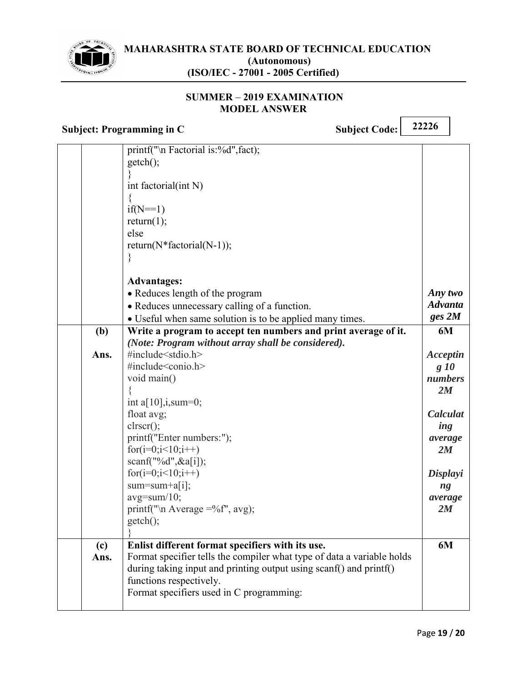

#### **SUMMER - 2019 EXAMINATION MODEL ANSWER**

|      | printf("\n Factorial is:%d", fact);                                    |                |
|------|------------------------------------------------------------------------|----------------|
|      | $getch()$ ;                                                            |                |
|      |                                                                        |                |
|      | int factorial(int N)                                                   |                |
|      |                                                                        |                |
|      | $if(N == 1)$                                                           |                |
|      | return(1);                                                             |                |
|      | else                                                                   |                |
|      | return( $N^*$ factorial( $N-1$ ));                                     |                |
|      |                                                                        |                |
|      | <b>Advantages:</b>                                                     |                |
|      | • Reduces length of the program                                        | Any two        |
|      | • Reduces unnecessary calling of a function.                           | <b>Advanta</b> |
|      | · Useful when same solution is to be applied many times.               | ges~2M         |
| (b)  | Write a program to accept ten numbers and print average of it.         | 6M             |
|      | (Note: Program without array shall be considered).                     |                |
| Ans. | #include <stdio.h></stdio.h>                                           | Acceptin       |
|      | #include <conio.h></conio.h>                                           | g 10           |
|      | void main()                                                            | numbers        |
|      |                                                                        | 2M             |
|      | int a[ $10$ ], i, sum=0;                                               |                |
|      | float avg;                                                             | Calculat       |
|      | $\text{clrscr}$ $\text{c}$ :                                           | ing            |
|      | printf("Enter numbers:");                                              | average        |
|      | for $(i=0; i<10; i++)$                                                 | 2M             |
|      | scanf("%d", $\&a[i]$ );                                                |                |
|      | $for(i=0;i<10;i++)$                                                    | Displayi       |
|      | $sum = sum + a[i];$                                                    | ng             |
|      | $avg = sum/10$ ;                                                       | average        |
|      | printf("\n Average =%f", avg);                                         | 2M             |
|      | $getch()$ ;                                                            |                |
| (c)  | Enlist different format specifiers with its use.                       | 6M             |
| Ans. | Format specifier tells the compiler what type of data a variable holds |                |
|      | during taking input and printing output using scanf() and printf()     |                |
|      | functions respectively.                                                |                |
|      | Format specifiers used in C programming:                               |                |
|      |                                                                        |                |